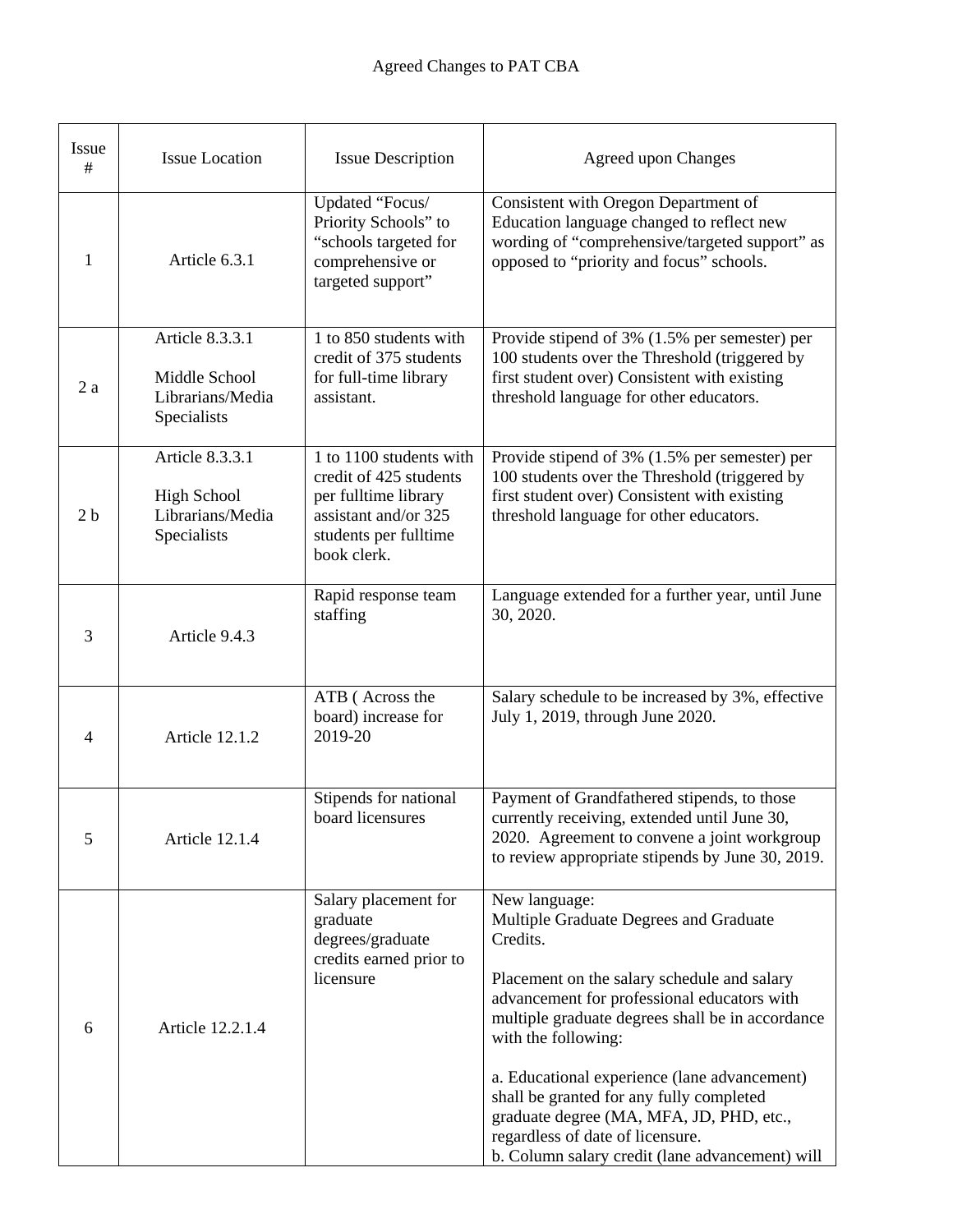| Issue<br>#     | <b>Issue Location</b>                                                    | <b>Issue Description</b>                                                                                                                  | <b>Agreed upon Changes</b>                                                                                                                                                                                                                                                                                                                                                                                                                                                  |
|----------------|--------------------------------------------------------------------------|-------------------------------------------------------------------------------------------------------------------------------------------|-----------------------------------------------------------------------------------------------------------------------------------------------------------------------------------------------------------------------------------------------------------------------------------------------------------------------------------------------------------------------------------------------------------------------------------------------------------------------------|
| 1              | Article 6.3.1                                                            | Updated "Focus/<br>Priority Schools" to<br>"schools targeted for<br>comprehensive or<br>targeted support"                                 | Consistent with Oregon Department of<br>Education language changed to reflect new<br>wording of "comprehensive/targeted support" as<br>opposed to "priority and focus" schools.                                                                                                                                                                                                                                                                                             |
| 2a             | Article 8.3.3.1<br>Middle School<br>Librarians/Media<br>Specialists      | 1 to 850 students with<br>credit of 375 students<br>for full-time library<br>assistant.                                                   | Provide stipend of 3% (1.5% per semester) per<br>100 students over the Threshold (triggered by<br>first student over) Consistent with existing<br>threshold language for other educators.                                                                                                                                                                                                                                                                                   |
| 2 <sub>b</sub> | Article 8.3.3.1<br><b>High School</b><br>Librarians/Media<br>Specialists | 1 to 1100 students with<br>credit of 425 students<br>per fulltime library<br>assistant and/or 325<br>students per fulltime<br>book clerk. | Provide stipend of 3% (1.5% per semester) per<br>100 students over the Threshold (triggered by<br>first student over) Consistent with existing<br>threshold language for other educators.                                                                                                                                                                                                                                                                                   |
| 3              | Article 9.4.3                                                            | Rapid response team<br>staffing                                                                                                           | Language extended for a further year, until June<br>30, 2020.                                                                                                                                                                                                                                                                                                                                                                                                               |
| 4              | <b>Article 12.1.2</b>                                                    | ATB (Across the<br>board) increase for<br>2019-20                                                                                         | Salary schedule to be increased by 3%, effective<br>July 1, 2019, through June 2020.                                                                                                                                                                                                                                                                                                                                                                                        |
| 5              | Article 12.1.4                                                           | Stipends for national<br>board licensures                                                                                                 | Payment of Grandfathered stipends, to those<br>currently receiving, extended until June 30,<br>2020. Agreement to convene a joint workgroup<br>to review appropriate stipends by June 30, 2019.                                                                                                                                                                                                                                                                             |
| 6              | Article 12.2.1.4                                                         | Salary placement for<br>graduate<br>degrees/graduate<br>credits earned prior to<br>licensure                                              | New language:<br>Multiple Graduate Degrees and Graduate<br>Credits.<br>Placement on the salary schedule and salary<br>advancement for professional educators with<br>multiple graduate degrees shall be in accordance<br>with the following:<br>a. Educational experience (lane advancement)<br>shall be granted for any fully completed<br>graduate degree (MA, MFA, JD, PHD, etc.,<br>regardless of date of licensure.<br>b. Column salary credit (lane advancement) will |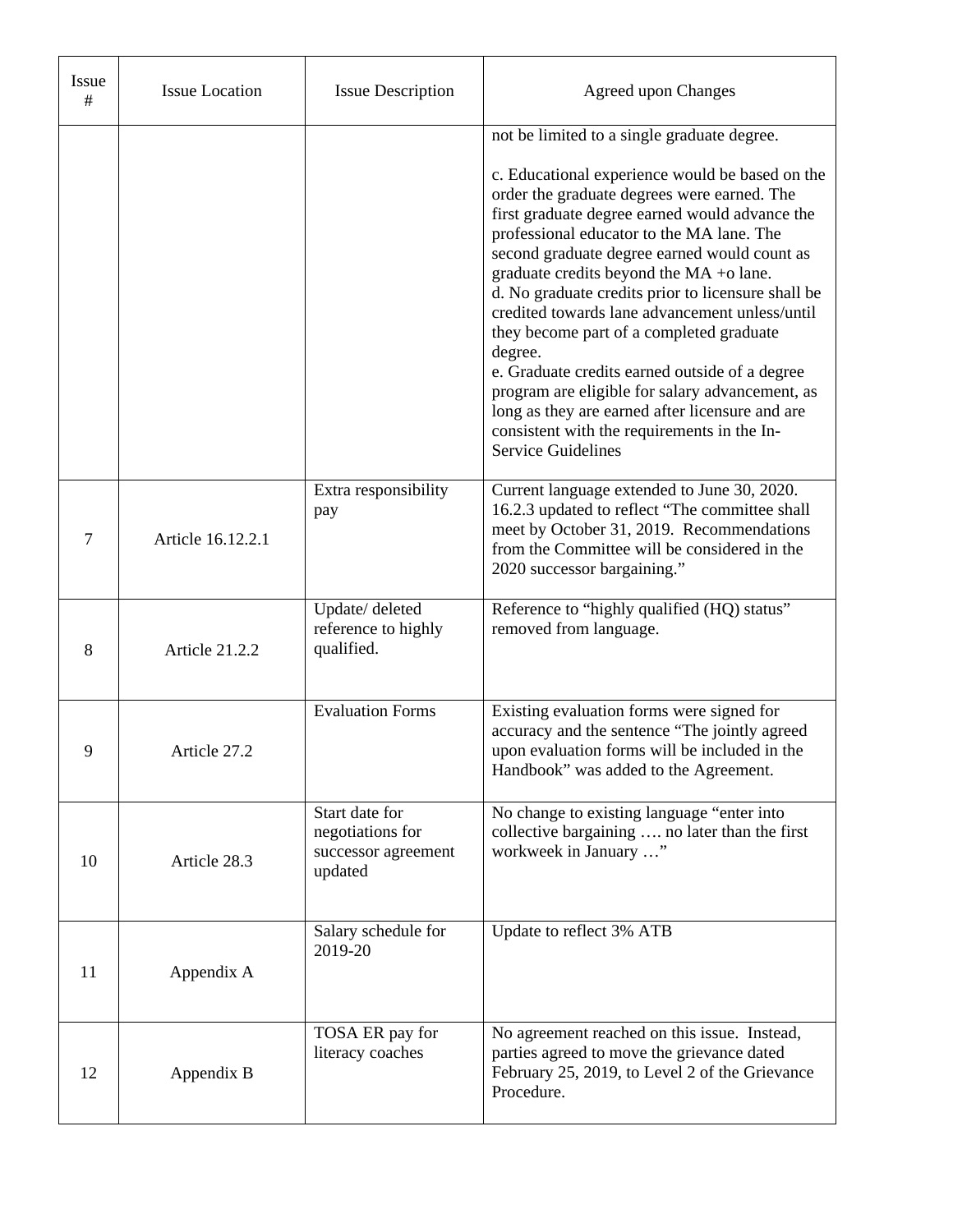| Issue<br># | <b>Issue Location</b> | <b>Issue Description</b>                                             | <b>Agreed upon Changes</b>                                                                                                                                                                                                                                                                                                                                                                                                                                                                                                                                                                                                                                     |
|------------|-----------------------|----------------------------------------------------------------------|----------------------------------------------------------------------------------------------------------------------------------------------------------------------------------------------------------------------------------------------------------------------------------------------------------------------------------------------------------------------------------------------------------------------------------------------------------------------------------------------------------------------------------------------------------------------------------------------------------------------------------------------------------------|
|            |                       |                                                                      | not be limited to a single graduate degree.<br>c. Educational experience would be based on the<br>order the graduate degrees were earned. The<br>first graduate degree earned would advance the<br>professional educator to the MA lane. The<br>second graduate degree earned would count as<br>graduate credits beyond the MA +o lane.<br>d. No graduate credits prior to licensure shall be<br>credited towards lane advancement unless/until<br>they become part of a completed graduate<br>degree.<br>e. Graduate credits earned outside of a degree<br>program are eligible for salary advancement, as<br>long as they are earned after licensure and are |
|            |                       |                                                                      | consistent with the requirements in the In-<br><b>Service Guidelines</b>                                                                                                                                                                                                                                                                                                                                                                                                                                                                                                                                                                                       |
| 7          | Article 16.12.2.1     | Extra responsibility<br>pay                                          | Current language extended to June 30, 2020.<br>16.2.3 updated to reflect "The committee shall<br>meet by October 31, 2019. Recommendations<br>from the Committee will be considered in the<br>2020 successor bargaining."                                                                                                                                                                                                                                                                                                                                                                                                                                      |
| 8          | Article 21.2.2        | Update/deleted<br>reference to highly<br>qualified.                  | Reference to "highly qualified (HQ) status"<br>removed from language.                                                                                                                                                                                                                                                                                                                                                                                                                                                                                                                                                                                          |
| 9          | Article 27.2          | <b>Evaluation Forms</b>                                              | Existing evaluation forms were signed for<br>accuracy and the sentence "The jointly agreed<br>upon evaluation forms will be included in the<br>Handbook" was added to the Agreement.                                                                                                                                                                                                                                                                                                                                                                                                                                                                           |
| 10         | Article 28.3          | Start date for<br>negotiations for<br>successor agreement<br>updated | No change to existing language "enter into<br>collective bargaining  no later than the first<br>workweek in January "                                                                                                                                                                                                                                                                                                                                                                                                                                                                                                                                          |
| 11         | Appendix A            | Salary schedule for<br>2019-20                                       | Update to reflect 3% ATB                                                                                                                                                                                                                                                                                                                                                                                                                                                                                                                                                                                                                                       |
| 12         | Appendix B            | TOSA ER pay for<br>literacy coaches                                  | No agreement reached on this issue. Instead,<br>parties agreed to move the grievance dated<br>February 25, 2019, to Level 2 of the Grievance<br>Procedure.                                                                                                                                                                                                                                                                                                                                                                                                                                                                                                     |